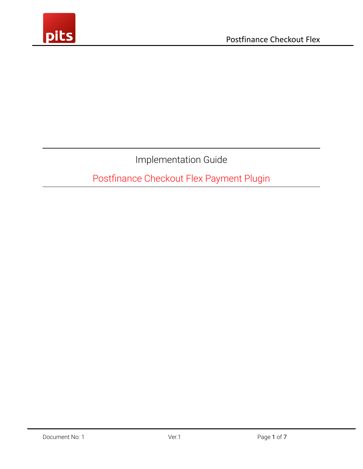

Implementation Guide

Postfinance Checkout Flex Payment Plugin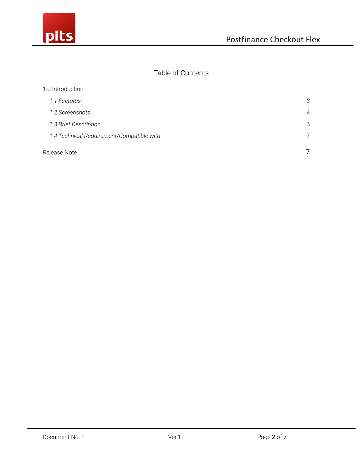

### Table of Contents

| 1.0 Introduction                          |                |
|-------------------------------------------|----------------|
| 1.1 Features                              | 3              |
| 1.2 Screenshots                           | $\overline{4}$ |
| 1.3 Brief Description                     | 6              |
| 1.4 Technical Requirement/Compatible with | 7              |
| Release Note                              |                |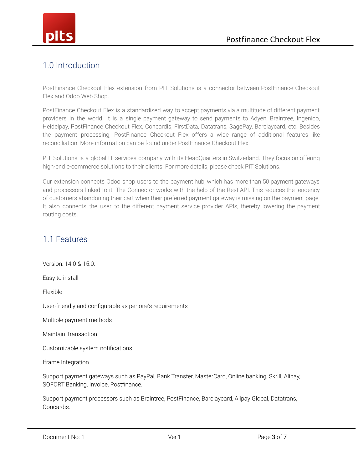

# <span id="page-2-0"></span>1.0 Introduction

PostFinance Checkout Flex extension from PIT Solutions is a connector between PostFinance Checkout Flex and Odoo Web Shop.

PostFinance Checkout Flex is a standardised way to accept payments via a multitude of different payment providers in the world. It is a single payment gateway to send payments to Adyen, Braintree, Ingenico, Heidelpay, PostFinance Checkout Flex, Concardis, FirstData, Datatrans, SagePay, Barclaycard, etc. Besides the payment processing, PostFinance Checkout Flex offers a wide range of additional features like reconciliation. More information can be found under PostFinance Checkout Flex.

PIT Solutions is a global IT services company with its HeadQuarters in Switzerland. They focus on offering high-end e-commerce solutions to their clients. For more details, please check PIT Solutions.

Our extension connects Odoo shop users to the payment hub, which has more than 50 payment gateways and processors linked to it. The Connector works with the help of the Rest API. This reduces the tendency of customers abandoning their cart when their preferred payment gateway is missing on the payment page. It also connects the user to the different payment service provider APIs, thereby lowering the payment routing costs.

## 1.1 Features

Version: 14.0 & 15.0: Easy to install

Flexible

User-friendly and configurable as per one's requirements

Multiple payment methods

Maintain Transaction

Customizable system notifications

Iframe Integration

Support payment gateways such as PayPal, Bank Transfer, MasterCard, Online banking, Skrill, Alipay, SOFORT Banking, Invoice, Postfinance.

Support payment processors such as Braintree, PostFinance, Barclaycard, Alipay Global, Datatrans, Concardis.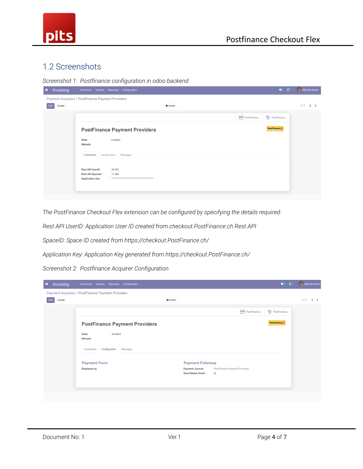

## 1.2 Screenshots

*Screenshot 1: Postfinance configuration in odoo backend*

| Payment Acquirers / PostFinance Payment Providers                           |                 |                                                                                      |                    |              |
|-----------------------------------------------------------------------------|-----------------|--------------------------------------------------------------------------------------|--------------------|--------------|
|                                                                             |                 |                                                                                      |                    |              |
|                                                                             | <b>₿</b> Action |                                                                                      |                    | $1/1 \leq$ > |
|                                                                             |                 | PostFinance                                                                          | D PostFinance      |              |
|                                                                             |                 |                                                                                      | <b>PostFinance</b> |              |
| <b>State</b><br>Website                                                     |                 |                                                                                      |                    |              |
| Credentials                                                                 | Messages        |                                                                                      |                    |              |
| <b>Rest API UserID</b><br><b>Rest API Spaceld</b><br><b>Application Key</b> |                 |                                                                                      |                    |              |
|                                                                             |                 | <b>PostFinance Payment Providers</b><br>Enabled<br>Configuration<br>39,453<br>17,266 |                    |              |

*The PostFinance Checkout Flex extension can be configured by specifying the details required:*

*Rest API UserID: Application User ID created from checkout.PostFinance.ch Rest API*

*SpaceID: Space ID created from https://checkout.PostFinance.ch/*

*Application Key: Application Key generated from https://checkout.PostFinance.ch/*

*Screenshot 2: Postfinance Acquirer Configuration*

| Invoicing<br>н | Vendors Reporting Configuration<br>Customers      |                                                    |                                                 |                    | <b>C</b> <sup>8</sup> <b>C</b> <sup>8</sup> Mitchell Admin |
|----------------|---------------------------------------------------|----------------------------------------------------|-------------------------------------------------|--------------------|------------------------------------------------------------|
|                | Payment Acquirers / PostFinance Payment Providers |                                                    |                                                 |                    |                                                            |
| Create<br>Edit |                                                   | <b>C</b> Action                                    |                                                 |                    | 1/1<br>$\langle \rangle$                                   |
|                |                                                   |                                                    | PostFinance                                     | D PostFinance      |                                                            |
|                | <b>PostFinance Payment Providers</b>              |                                                    |                                                 | <b>PostFinance</b> |                                                            |
|                | Enabled<br><b>State</b><br>Website                |                                                    |                                                 |                    |                                                            |
|                | Configuration<br>Credentials<br>Messages          |                                                    |                                                 |                    |                                                            |
|                | <b>Payment Form</b>                               | <b>Payment Followup</b>                            |                                                 |                    |                                                            |
|                | <b>Displayed as</b>                               | <b>Payment Journal</b><br><b>Send Status Email</b> | <b>PostFinance Payment Providers</b><br>$\prec$ |                    |                                                            |
|                |                                                   |                                                    |                                                 |                    |                                                            |
|                |                                                   |                                                    |                                                 |                    |                                                            |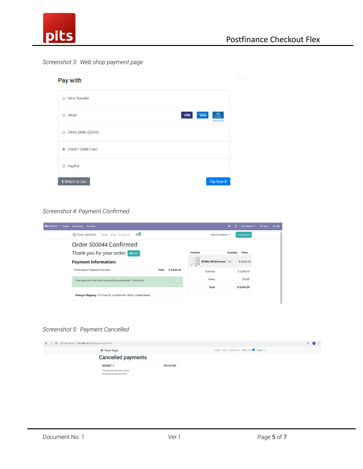

#### *Screenshot 3: Web shop payment page*

| Pay with                           |                                                                                                                                                             |
|------------------------------------|-------------------------------------------------------------------------------------------------------------------------------------------------------------|
| <b>Wire Transfer</b><br>$\bigcirc$ |                                                                                                                                                             |
| <b>Stripe</b><br>$\bigcirc$        | $\underbrace{Drem\_Calc}_{Dmm\_Calc}$<br>$\begin{array}{c} \displaystyle \text{CMEE} \\ \displaystyle \text{DSE} \\ \end{array}$<br><b>VISA</b><br>and more |
| Direct Debit (SEPA)<br>$\circ$     |                                                                                                                                                             |
| Credit / Debit Card                |                                                                                                                                                             |
| PayPal<br>$\circ$                  |                                                                                                                                                             |
| <b>く Return to Cart</b>            | Pay Now >                                                                                                                                                   |

#### *Screenshot 4: Payment Confirmed*

| $\blacksquare$ WEBSITE $\blacktriangleright$ Pages | Customize Promote                                                 |               |            |                                       | п.<br>賽  | My Website $\blacktriangledown$ | $+$ New | $\blacktriangleright$ Edit |
|----------------------------------------------------|-------------------------------------------------------------------|---------------|------------|---------------------------------------|----------|---------------------------------|---------|----------------------------|
|                                                    | $\Box$<br><b>NOUR WEBSITE</b><br>Home Shop Contact us             |               |            | Mitchell Admin ▼                      |          | <b>Contact Us</b>               |         |                            |
|                                                    | Order S00044 Confirmed                                            |               |            |                                       |          |                                 |         |                            |
|                                                    | Thank you for your order.<br>$\bigoplus$ Print                    |               |            | Product                               | Quantity | <b>Price</b>                    |         |                            |
|                                                    | <b>Payment Information:</b>                                       |               |            | [FURN_8855] Drawer 1.0<br>$\sim$<br>÷ |          | \$3,645.00                      |         |                            |
|                                                    | <b>PostFinance Payment Providers</b>                              | <b>Total:</b> | \$3,645.00 | Subtotal:                             |          | \$3,645,00                      |         |                            |
|                                                    | Your payment has been successfully processed. Thank you!          |               |            | Taxes:                                |          | \$0.00                          |         |                            |
|                                                    |                                                                   |               |            | <b>Total:</b>                         |          | \$3,645.00                      |         |                            |
|                                                    | Billing & Shipping: 215 Vine St, Scranton PA 18503, United States |               |            |                                       |          |                                 |         |                            |

#### *Screenshot 5: Payment Cancelled*

| $\leftarrow$ $\rightarrow$ $\mathbb{C}$ (i) Not secure   192.168.1.41:8869/payment/process      | ☆ ● :                                          |
|-------------------------------------------------------------------------------------------------|------------------------------------------------|
| ia Your logo                                                                                    | Home Shop Contactus <b>He My Cart D</b> Manu ▼ |
| <b>Cancelled payments</b>                                                                       |                                                |
| SO087-1<br>876.26 USD<br>This transaction has been cancelled.<br>No payment has been processed. |                                                |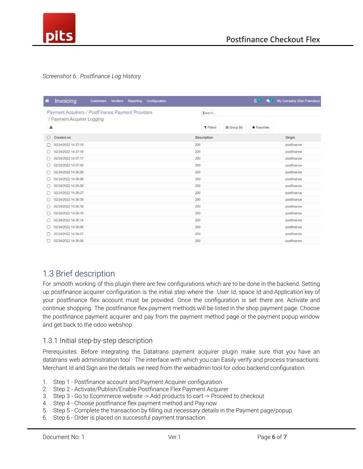

#### *Screenshot 6: Postfinance Log History*

| Invoicing<br>H<br>Reporting<br>Configuration<br><b>Customers</b><br><b>Vendors</b> | $C^{17}$<br>$\mathbf{Q}^T$                               | My Company (San Francisco) |
|------------------------------------------------------------------------------------|----------------------------------------------------------|----------------------------|
| Payment Acquirers / PostFinance Payment Providers                                  | Search                                                   |                            |
| / Payment Acquirer Logging                                                         |                                                          |                            |
| 斐                                                                                  | $T$ Filters<br>$\equiv$ Group By<br>$\bigstar$ Favorites |                            |
| <b>Created on</b>                                                                  | <b>Description</b>                                       | <b>Origin</b>              |
| 02/24/2022 14:37:19                                                                | 200                                                      | postfinance                |
| 02/24/2022 14:37:18                                                                | 200                                                      | postfinance                |
| 02/24/2022 14:37:17                                                                | 200                                                      | postfinance                |
| 02/24/2022 14:37:00                                                                | 200                                                      | postfinance                |
| 02/24/2022 14:36:59                                                                | 200                                                      | postfinance                |
| 02/24/2022 14:36:58                                                                | 200                                                      | postfinance                |
| 02/24/2022 14:36:38                                                                | 200                                                      | postfinance                |
| 02/24/2022 14:36:37                                                                | 200                                                      | postfinance                |
| 02/24/2022 14:36:36                                                                | 200                                                      | postfinance                |
| 02/24/2022 14:36:16                                                                | 200                                                      | postfinance                |
| 02/24/2022 14:36:15                                                                | 200                                                      | postfinance                |
| 02/24/2022 14:36:14                                                                | 200                                                      | postfinance                |
| 02/24/2022 14:36:08                                                                | 200                                                      | postfinance                |
| 02/24/2022 14:36:07                                                                | 200                                                      | postfinance                |
| 02/24/2022 14:36:06                                                                | 200                                                      | postfinance                |

### 1.3 Brief description

For smooth working of this plugin there are few configurations which are to be done in the backend. Setting up postfinance acquirer configuration is the initial step where the User Id, space Id and Application key of your postfinance flex account must be provided. Once the configuration is set there are. Activate and continue shopping. The postfinance flex payment methods will be listed in the shop payment page. Choose the postfinance payment acquirer and pay from the payment method page or the payment popup window and get back to the odoo webshop.

#### 1.3.1 Initial step-by-step description

Prerequisites: Before integrating the Datatrans payment acquirer plugin make sure that you have an datatrans web administration tool - The interface with which you can Easily verify and process transactions. Merchant Id and Sign are the details we need from the webadmin tool for odoo backend configuration.

- 1. Step 1 Postfinance account and Payment Acquirer configuration
- 2. Step 2 Activate/Publish/Enable Postfinance Flex Payment Acquirer
- 3. Step 3 Go to Ecommerce website -> Add products to cart -> Proceed to checkout
- 4. Step 4 Choose postfinance flex payment method and Pay now
- 5. Step 5 Complete the transaction by filling out necessary details in the Payment page/popup.
- 6. Step 6 Order is placed on successful payment transaction